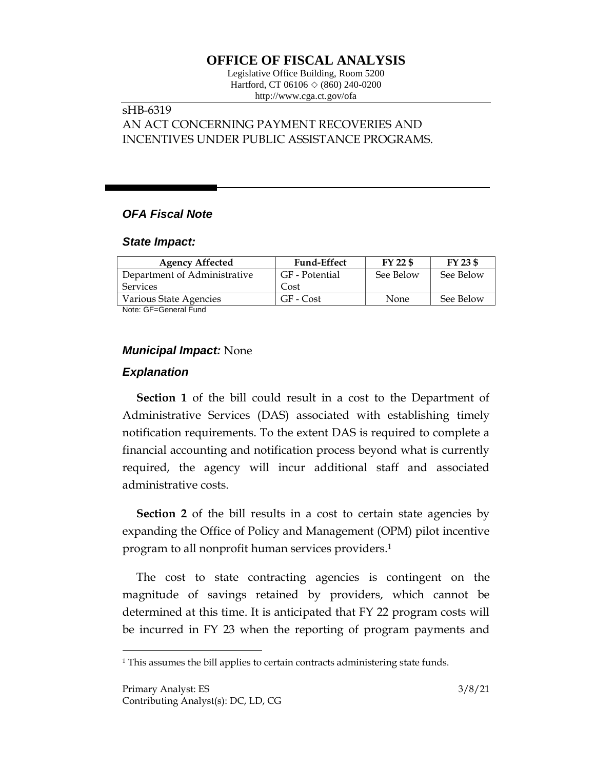# **OFFICE OF FISCAL ANALYSIS**

Legislative Office Building, Room 5200 Hartford, CT 06106 ◇ (860) 240-0200 http://www.cga.ct.gov/ofa

## sHB-6319 AN ACT CONCERNING PAYMENT RECOVERIES AND INCENTIVES UNDER PUBLIC ASSISTANCE PROGRAMS.

## *OFA Fiscal Note*

### *State Impact:*

| <b>Agency Affected</b>       | <b>Fund-Effect</b> | FY 22 \$  | $FY$ 23 \$ |
|------------------------------|--------------------|-----------|------------|
| Department of Administrative | GF - Potential     | See Below | See Below  |
| Services                     | Cost               |           |            |
| Various State Agencies       | GF - Cost          | None      | See Below  |

Note: GF=General Fund

## *Municipal Impact:* None

## *Explanation*

 $\overline{a}$ 

**Section 1** of the bill could result in a cost to the Department of Administrative Services (DAS) associated with establishing timely notification requirements. To the extent DAS is required to complete a financial accounting and notification process beyond what is currently required, the agency will incur additional staff and associated administrative costs.

**Section 2** of the bill results in a cost to certain state agencies by expanding the Office of Policy and Management (OPM) pilot incentive program to all nonprofit human services providers. 1

The cost to state contracting agencies is contingent on the magnitude of savings retained by providers, which cannot be determined at this time. It is anticipated that FY 22 program costs will be incurred in FY 23 when the reporting of program payments and

<sup>&</sup>lt;sup>1</sup> This assumes the bill applies to certain contracts administering state funds.